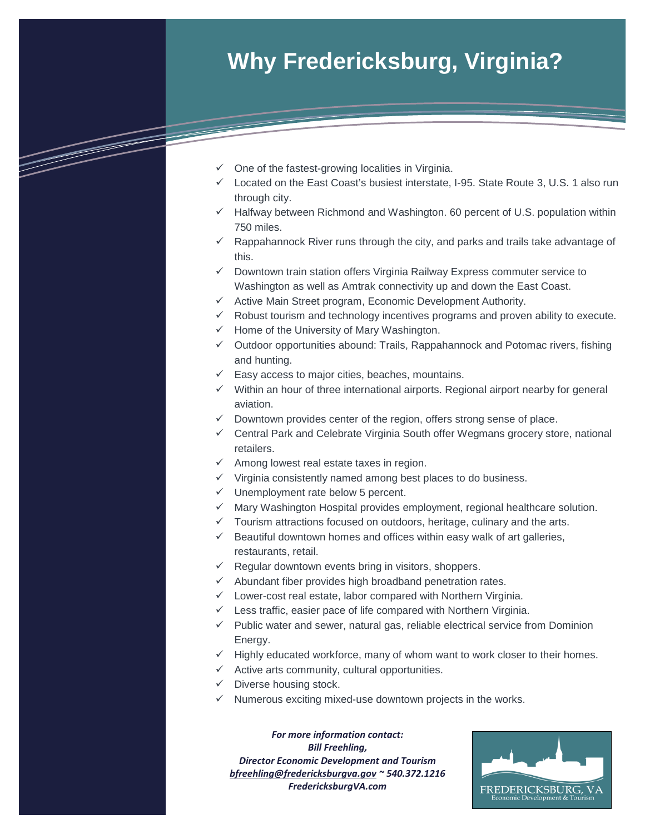# **Why Fredericksburg, Virginia?**

- $\checkmark$  One of the fastest-growing localities in Virginia.
- $\checkmark$  Located on the East Coast's busiest interstate, I-95. State Route 3, U.S. 1 also run through city.
- $\checkmark$  Halfway between Richmond and Washington. 60 percent of U.S. population within 750 miles.
- $\checkmark$  Rappahannock River runs through the city, and parks and trails take advantage of this.
- $\checkmark$  Downtown train station offers Virginia Railway Express commuter service to Washington as well as Amtrak connectivity up and down the East Coast.
- $\checkmark$  Active Main Street program, Economic Development Authority.
- $\checkmark$  Robust tourism and technology incentives programs and proven ability to execute.
- $\checkmark$  Home of the University of Mary Washington.
- $\checkmark$  Outdoor opportunities abound: Trails, Rappahannock and Potomac rivers, fishing and hunting.
- $\checkmark$  Easy access to major cities, beaches, mountains.
- $\checkmark$  Within an hour of three international airports. Regional airport nearby for general aviation.
- $\checkmark$  Downtown provides center of the region, offers strong sense of place.
- $\checkmark$  Central Park and Celebrate Virginia South offer Wegmans grocery store, national retailers.
- $\checkmark$  Among lowest real estate taxes in region.
- $\checkmark$  Virginia consistently named among best places to do business.
- $\checkmark$  Unemployment rate below 5 percent.
- $\checkmark$  Mary Washington Hospital provides employment, regional healthcare solution.
- $\checkmark$  Tourism attractions focused on outdoors, heritage, culinary and the arts.
- $\checkmark$  Beautiful downtown homes and offices within easy walk of art galleries, restaurants, retail.
- $\checkmark$  Regular downtown events bring in visitors, shoppers.
- $\checkmark$  Abundant fiber provides high broadband penetration rates.
- $\checkmark$  Lower-cost real estate, labor compared with Northern Virginia.
- $\checkmark$  Less traffic, easier pace of life compared with Northern Virginia.
- $\checkmark$  Public water and sewer, natural gas, reliable electrical service from Dominion Energy.
- $\checkmark$  Highly educated workforce, many of whom want to work closer to their homes.
- $\checkmark$  Active arts community, cultural opportunities.
- $\checkmark$  Diverse housing stock.
- $\checkmark$  Numerous exciting mixed-use downtown projects in the works.

*For more information contact: Bill Freehling, Director Economic Development and Tourism [bfreehling@fredericksburgva.gov](mailto:bfreehling@fredericksburgva.gov) ~ 540.372.1216 FredericksburgVA.com*